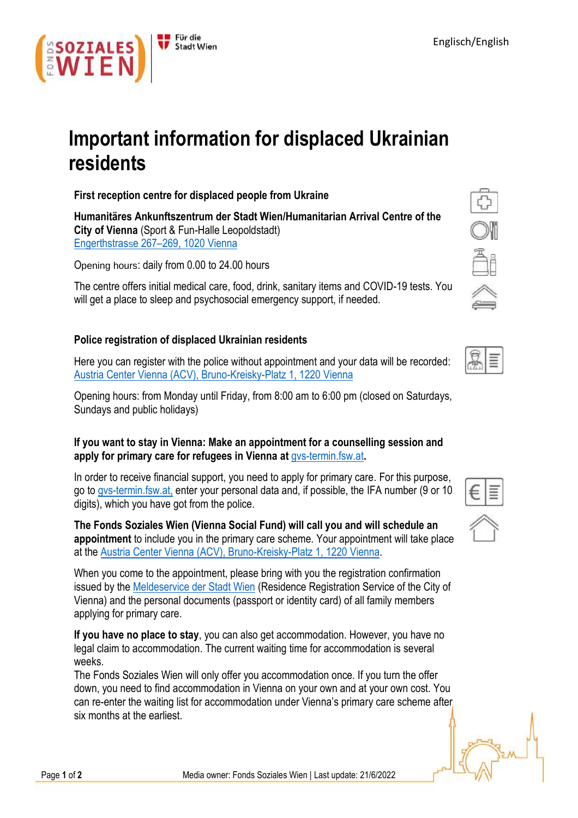

## **Important information for displaced Ukrainian residents**

**First reception centre for displaced people from Ukraine**

**Humanitäres Ankunftszentrum der Stadt Wien/Humanitarian Arrival Centre of the City of Vienna** (Sport & Fun-Halle Leopoldstadt) Engerthstrasse 267–[269, 1020 Vienn](https://goo.gl/maps/s4tVY91EAkk7fznm6)a

Opening hours: daily from 0.00 to 24.00 hours

The centre offers initial medical care, food, drink, sanitary items and COVID-19 tests. You will get a place to sleep and psychosocial emergency support, if needed.

## **Police registration of displaced Ukrainian residents**

Here you can register with the police without appointment and your data will be recorded: [Austria Center Vienna \(ACV\), Bruno-Kreisky-Platz 1, 1220 V](https://www.google.com/maps/place/Austria+Center+Vienna/@48.2346748,16.4113685,16.88z/data=!3m1!5s0x476d06ef65d22559:0x738e156a32ba42c7!4m5!3m4!1s0x476d06ef618b7877:0x1afc2f6fe51e9128!8m2!3d48.2348698!4d16.4137358)ienna

Opening hours: from Monday until Friday, from 8:00 am to 6:00 pm (closed on Saturdays, Sundays and public holidays)

**If you want to stay in Vienna: Make an appointment for a counselling session and apply for primary care for refugees in Vienna at** [gvs-termin.fsw.at](http://gvs-termin.fsw.at/)**.**

In order to receive financial support, you need to apply for primary care. For this purpose, go to [gvs-termin.fsw.at,](http://gvs-termin.fsw.at/) enter your personal data and, if possible, the IFA number (9 or 10 digits), which you have got from the police.

**The Fonds Soziales Wien (Vienna Social Fund) will call you and will schedule an appointment** to include you in the primary care scheme. Your appointment will take place at the [Austria Center Vienna \(ACV\), Bruno-Kreisky-Platz 1, 1220 Vienn](https://www.google.com/maps/place/Austria+Center+Vienna/@48.234913,16.413725,15z/data=!4m5!3m4!1s0x0:0x1afc2f6fe51e9128!8m2!3d48.234913!4d16.413725)a.

When you come to the appointment, please bring with you the registration confirmation issued by the [Meldeservice der Stadt Wien](https://www.wien.gv.at/verwaltung/meldeservice/stellen.html) (Residence Registration Service of the City of Vienna) and the personal documents (passport or identity card) of all family members applying for primary care.

**If you have no place to stay**, you can also get accommodation. However, you have no legal claim to accommodation. The current waiting time for accommodation is several weeks.

The Fonds Soziales Wien will only offer you accommodation once. If you turn the offer down, you need to find accommodation in Vienna on your own and at your own cost. You can re-enter the waiting list for accommodation under Vienna's primary care scheme after six months at the earliest.